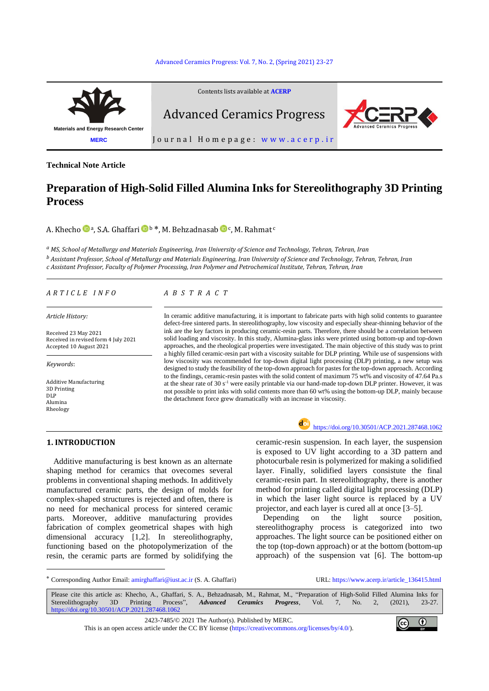#### [Advanced Ceramics Progress: Vol. 7, No. 2, \(Spring](https://doi.org/10.30501/acp.2021.287468.1062) 2021) 23-27



**Technical Note Article**

# **Preparation of High-Solid Filled Alumina Inks for Stereolithography 3D Printing Process**

A. Khecho © ª, S.A. Ghaffari © ʰ \*, M. Behzadnasab © ¢, M. Rahmat ¢

*<sup>a</sup> MS, School of Metallurgy and Materials Engineering, Iran University of Science and Technology, Tehran, Tehran, Iran <sup>b</sup> Assistant Professor, School of Metallurgy and Materials Engineering, Iran University of Science and Technology, Tehran, Tehran, Iran c Assistant Professor, Faculty of Polymer Processing, Iran Polymer and Petrochemical Institute, Tehran, Tehran, Iran*

*Article History:*

Received 23 May 2021 Received in revised form 4 July 2021 Accepted 10 August 2021

*Keywords*:

-

Additive Manufacturing 3D Printing DLP Alumina Rheology

# *A R T I C L E I N F O A B S T R A C T*

In ceramic additive manufacturing, it is important to fabricate parts with high solid contents to guarantee defect-free sintered parts. In stereolithography, low viscosity and especially shear-thinning behavior of the ink are the key factors in producing ceramic-resin parts. Therefore, there should be a correlation between solid loading and viscosity. In this study, Alumina-glass inks were printed using bottom-up and top-down approaches, and the rheological properties were investigated. The main objective of this study was to print a highly filled ceramic-resin part with a viscosity suitable for DLP printing. While use of suspensions with low viscosity was recommended for top-down digital light processing (DLP) printing, a new setup was designed to study the feasibility of the top-down approach for pastes for the top-down approach. According to the findings, ceramic-resin pastes with the solid content of maximum 75 wt% and viscosity of 47.64 Pa.s at the shear rate of 30 s<sup>-1</sup> were easily printable via our hand-made top-down DLP printer. However, it was not possible to print inks with solid contents more than 60 wt% using the bottom-up DLP, mainly because the detachment force grew dramatically with an increase in viscosity.

# **1. INTRODUCTION**

Additive manufacturing is best known as an alternate shaping method for ceramics that ovecomes several problems in conventional shaping methods. In additively manufactured ceramic parts, the design of molds for complex-shaped structures is rejected and often, there is no need for mechanical process for sintered ceramic parts. Moreover, additive manufacturing provides fabrication of complex geometrical shapes with high dimensional accuracy [1,2]. In stereolithography, functioning based on the photopolymerization of the resin, the ceramic parts are formed by solidifying the



<https://doi.org/10.30501/ACP.2021.287468.1062>

ceramic-resin suspension. In each layer, the suspension is exposed to UV light according to a 3D pattern and photocurbale resin is polymerized for making a solidified layer. Finally, solidified layers consistute the final ceramic-resin part. In stereolithography, there is another method for printing called digital light processing (DLP) in which the laser light source is replaced by a UV projector, and each layer is cured all at once [3–5].

Depending on the light source position, stereolithography process is categorized into two approaches. The light source can be positioned either on the top (top-down approach) or at the bottom (bottom-up approach) of the suspension vat [6]. The bottom-up

\* Corresponding Author Email[: amirghaffari@iust.ac.ir](mailto:amirghaffari@iust.ac.ir) (S. A. Ghaffari) URL: [https://www.acerp.ir/article\\_136415.html](https://www.acerp.ir/article_136415.html)

Please cite this article as: Khecho, A., Ghaffari, S. A., Behzadnasab, M., Rahmat, M., "Preparation of High-Solid Filled Alumina Inks for Stereolithography 3D Printing Process", *Advanced Ceramics Progress*, Vol. 7, No. 2, (2021), 23-27. <https://doi.org/10.30501/ACP.2021.287468.1062>

2423-7485/© 2021 The Author(s). Published b[y MERC.](https://en.merc.ac.ir/)

This is an open access article under the CC BY license [\(https://creativecommons.org/licenses/by/4.0/\)](https://creativecommons.org/licenses/by/4.0/).

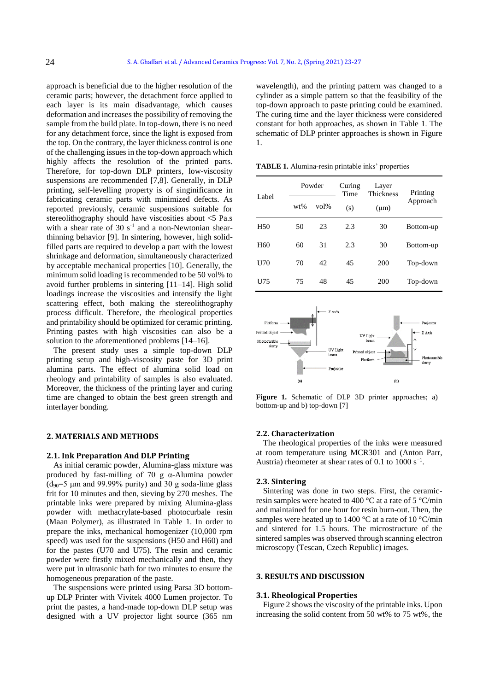approach is beneficial due to the higher resolution of the ceramic parts; however, the detachment force applied to each layer is its main disadvantage, which causes deformation and increases the possibility of removing the sample from the build plate. In top-down, there is no need for any detachment force, since the light is exposed from the top. On the contrary, the layer thickness control is one of the challenging issues in the top-down approach which highly affects the resolution of the printed parts. Therefore, for top-down DLP printers, low-viscosity suspensions are recommended [7,8]. Generally, in DLP printing, self-levelling property is of singinificance in fabricating ceramic parts with minimized defects. As reported previously, ceramic suspensions suitable for stereolithography should have viscosities about <5 Pa.s with a shear rate of 30  $s^{-1}$  and a non-Newtonian shearthinning behavior [9]. In sintering, however, high solidfilled parts are required to develop a part with the lowest shrinkage and deformation, simultaneously characterized by acceptable mechanical properties [10]. Generally, the minimum solid loading is recommended to be 50 vol% to avoid further problems in sintering [11–14]. High solid loadings increase the viscosities and intensify the light scattering effect, both making the stereolithography process difficult. Therefore, the rheological properties and printability should be optimized for ceramic printing. Printing pastes with high viscosities can also be a solution to the aforementioned problems [14–16].

The present study uses a simple top-down DLP printing setup and high-viscosity paste for 3D print alumina parts. The effect of alumina solid load on rheology and printability of samples is also evaluated. Moreover, the thickness of the printing layer and curing time are changed to obtain the best green strength and interlayer bonding.

# **2. MATERIALS AND METHODS**

#### **2.1. Ink Preparation And DLP Printing**

As initial ceramic powder, Alumina-glass mixture was produced by fast-milling of 70 g  $\alpha$ -Alumina powder  $(d_{90}=5 \mu m$  and 99.99% purity) and 30 g soda-lime glass frit for 10 minutes and then, sieving by 270 meshes. The printable inks were prepared by mixing Alumina-glass powder with methacrylate-based photocurbale resin (Maan Polymer), as illustrated in Table 1. In order to prepare the inks, mechanical homogenizer (10,000 rpm speed) was used for the suspensions (H50 and H60) and for the pastes (U70 and U75). The resin and ceramic powder were firstly mixed mechanically and then, they were put in ultrasonic bath for two minutes to ensure the homogeneous preparation of the paste.

The suspensions were printed using Parsa 3D bottomup DLP Printer with Vivitek 4000 Lumen projector. To print the pastes, a hand-made top-down DLP setup was designed with a UV projector light source (365 nm wavelength), and the printing pattern was changed to a cylinder as a simple pattern so that the feasibility of the top-down approach to paste printing could be examined. The curing time and the layer thickness were considered constant for both approaches, as shown in Table 1. The schematic of DLP printer approaches is shown in Figure 1.

**TABLE 1.** Alumina-resin printable inks' properties

| Label           | Powder |      | Curing<br>Time | Layer<br>Thickness | Printing  |
|-----------------|--------|------|----------------|--------------------|-----------|
|                 | $wt\%$ | vol% | (s)            | $(\mu m)$          | Approach  |
| H <sub>50</sub> | 50     | 23   | 2.3            | 30                 | Bottom-up |
| H <sub>60</sub> | 60     | 31   | 2.3            | 30                 | Bottom-up |
| U70             | 70     | 42   | 45             | 200                | Top-down  |
| U75             | 75     | 48   | 45             | 200                | Top-down  |



**Figure 1.** Schematic of DLP 3D printer approaches; a) bottom-up and b) top-down [7]

#### **2.2. Characterization**

The rheological properties of the inks were measured at room temperature using MCR301 and (Anton Parr, Austria) rheometer at shear rates of 0.1 to  $1000 \text{ s}^{-1}$ .

#### **2.3. Sintering**

Sintering was done in two steps. First, the ceramicresin samples were heated to 400 °C at a rate of 5 °C/min and maintained for one hour for resin burn-out. Then, the samples were heated up to 1400 °C at a rate of 10 °C/min and sintered for 1.5 hours. The microstructure of the sintered samples was observed through scanning electron microscopy (Tescan, Czech Republic) images.

#### **3. RESULTS AND DISCUSSION**

#### **3.1. Rheological Properties**

Figure 2 shows the viscosity of the printable inks. Upon increasing the solid content from 50 wt% to 75 wt%, the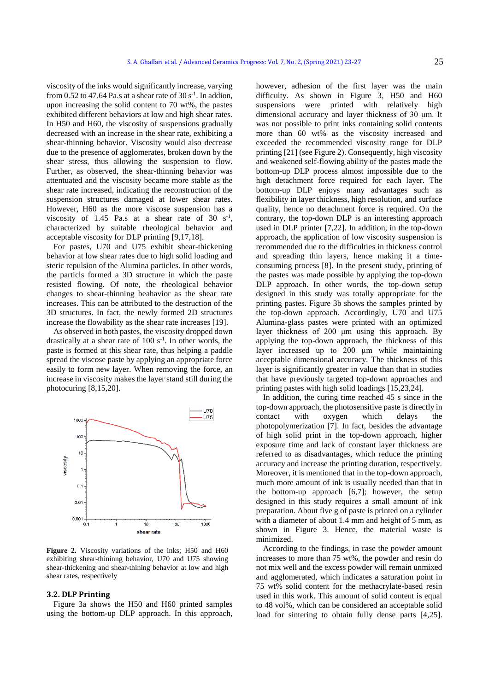viscosity of the inks would significantly increase, varying from 0.52 to 47.64 Pa.s at a shear rate of  $30 \text{ s}^{-1}$ . In addion, upon increasing the solid content to 70 wt%, the pastes exhibited different behaviors at low and high shear rates. In H50 and H60, the viscosity of suspensions gradually decreased with an increase in the shear rate, exhibiting a shear-thinning behavior. Viscosity would also decrease due to the presence of agglomerates, broken down by the shear stress, thus allowing the suspension to flow. Further, as observed, the shear-thinning behavior was attentuated and the viscosity became more stable as the shear rate increased, indicating the reconstruction of the suspension structures damaged at lower shear rates. However, H60 as the more viscose suspension has a viscosity of 1.45 Pa.s at a shear rate of 30  $s^{-1}$ , characterized by suitable rheological behavior and acceptable viscosity for DLP printing [9,17,18].

For pastes, U70 and U75 exhibit shear-thickening behavior at low shear rates due to high solid loading and steric repulsion of the Alumina particles. In other words, the particls formed a 3D structure in which the paste resisted flowing. Of note, the rheological behavior changes to shear-thinning beahavior as the shear rate increases. This can be attributed to the destruction of the 3D structures. In fact, the newly formed 2D structures increase the flowability as the shear rate increases [19].

As observed in both pastes, the viscosity dropped down drastically at a shear rate of  $100 s<sup>-1</sup>$ . In other words, the paste is formed at this shear rate, thus helping a paddle spread the viscose paste by applying an appropriate force easily to form new layer. When removing the force, an increase in viscosity makes the layer stand still during the photocuring [8,15,20].



**Figure 2.** Viscosity variations of the inks; H50 and H60 exhibiting shear-thininng behavior, U70 and U75 showing shear-thickening and shear-thining behavior at low and high shear rates, respectively

#### **3.2. DLP Printing**

Figure 3a shows the H50 and H60 printed samples using the bottom-up DLP approach. In this approach, however, adhesion of the first layer was the main difficulty. As shown in Figure 3, H50 and H60 suspensions were printed with relatively high dimensional accuracy and layer thickness of 30 μm. It was not possible to print inks containing solid contents more than 60 wt% as the viscosity increased and exceeded the recommended viscosity range for DLP printing [21] (see Figure 2). Consequently, high viscosity and weakened self-flowing ability of the pastes made the bottom-up DLP process almost impossible due to the high detachment force required for each layer. The bottom-up DLP enjoys many advantages such as flexibility in layer thickness, high resolution, and surface quality, hence no detachment force is required. On the contrary, the top-down DLP is an interesting approach used in DLP printer [7,22]. In addition, in the top-down approach, the application of low viscosity suspension is recommended due to the difficulties in thickness control and spreading thin layers, hence making it a timeconsuming process [8]. In the present study, printing of the pastes was made possible by applying the top-down DLP approach. In other words, the top-down setup designed in this study was totally appropriate for the printing pastes. Figure 3b shows the samples printed by the top-down approach. Accordingly, U70 and U75 Alumina-glass pastes were printed with an optimized layer thickness of 200 μm using this approach. By applying the top-down approach, the thickness of this layer increased up to 200 μm while maintaining acceptable dimensional accuracy. The thickness of this layer is significantly greater in value than that in studies that have previously targeted top-down approaches and printing pastes with high solid loadings [15,23,24].

In addition, the curing time reached 45 s since in the top-down approach, the photosensitive paste is directly in contact with oxygen which delays photopolymerization [7]. In fact, besides the advantage of high solid print in the top-down approach, higher exposure time and lack of constant layer thickness are referred to as disadvantages, which reduce the printing accuracy and increase the printing duration, respectively. Moreover, it is mentioned that in the top-down approach, much more amount of ink is usually needed than that in the bottom-up approach [6,7]; however, the setup designed in this study requires a small amount of ink preparation. About five g of paste is printed on a cylinder with a diameter of about 1.4 mm and height of 5 mm, as shown in Figure 3. Hence, the material waste is minimized.

According to the findings, in case the powder amount increases to more than 75 wt%, the powder and resin do not mix well and the excess powder will remain unmixed and agglomerated, which indicates a saturation point in 75 wt% solid content for the methacrylate-based resin used in this work. This amount of solid content is equal to 48 vol%, which can be considered an acceptable solid load for sintering to obtain fully dense parts [4,25].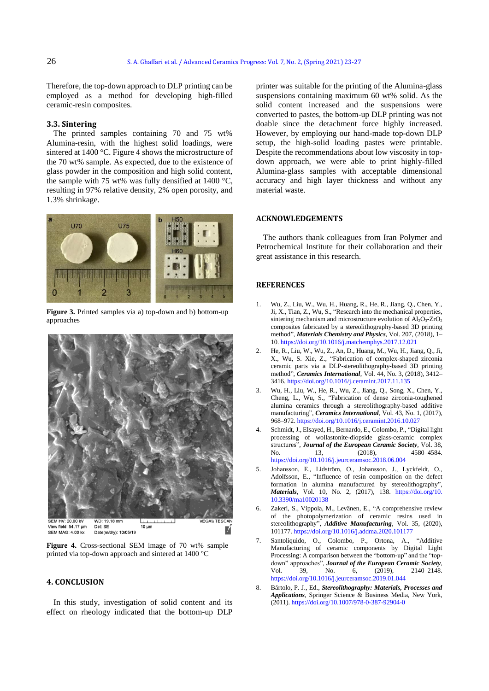Therefore, the top-down approach to DLP printing can be employed as a method for developing high-filled ceramic-resin composites.

### **3.3. Sintering**

The printed samples containing 70 and 75 wt% Alumina-resin, with the highest solid loadings, were sintered at 1400 °C. Figure 4 shows the microstructure of the 70 wt% sample. As expected, due to the existence of glass powder in the composition and high solid content, the sample with 75 wt% was fully densified at 1400  $^{\circ}$ C, resulting in 97% relative density, 2% open porosity, and 1.3% shrinkage.



**Figure 3.** Printed samples via a) top-down and b) bottom-up approaches



**Figure 4.** Cross-sectional SEM image of 70 wt% sample printed via top-down approach and sintered at 1400 °C

### **4. CONCLUSION**

In this study, investigation of solid content and its effect on rheology indicated that the bottom-up DLP printer was suitable for the printing of the Alumina-glass suspensions containing maximum 60 wt% solid. As the solid content increased and the suspensions were converted to pastes, the bottom-up DLP printing was not doable since the detachment force highly increased. However, by employing our hand-made top-down DLP setup, the high-solid loading pastes were printable. Despite the recommendations about low viscosity in topdown approach, we were able to print highly-filled Alumina-glass samples with acceptable dimensional accuracy and high layer thickness and without any material waste.

#### **ACKNOWLEDGEMENTS**

The authors thank colleagues from Iran Polymer and Petrochemical Institute for their collaboration and their great assistance in this research.

#### **REFERENCES**

- 1. Wu, Z., Liu, W., Wu, H., Huang, R., He, R., Jiang, Q., Chen, Y., Ji, X., Tian, Z., Wu, S., "Research into the mechanical properties, sintering mechanism and microstructure evolution of Al<sub>2</sub>O<sub>3</sub>-ZrO<sub>2</sub> composites fabricated by a stereolithography-based 3D printing method", *Materials Chemistry and Physics*, Vol. 207, (2018), 1– 10[. https://doi.org/10.1016/j.matchemphys.2017.12.021](https://doi.org/10.1016/j.matchemphys.2017.12.021)
- 2. He, R., Liu, W., Wu, Z., An, D., Huang, M., Wu, H., Jiang, Q., Ji, X., Wu, S. Xie, Z., "Fabrication of complex-shaped zirconia ceramic parts via a DLP-stereolithography-based 3D printing method", *Ceramics International*, Vol. 44, No. 3, (2018), 3412– 3416[. https://doi.org/10.1016/j.ceramint.2017.11.135](https://doi.org/10.1016/j.ceramint.2017.11.135)
- 3. Wu, H., Liu, W., He, R., Wu, Z., Jiang, Q., Song, X., Chen, Y., Cheng, L., Wu, S., "Fabrication of dense zirconia-toughened alumina ceramics through a stereolithography-based additive manufacturing", *Ceramics International*, Vol. 43, No. 1, (2017), 968–972[. https://doi.org/10.1016/j.ceramint.2016.10.027](https://doi.org/10.1016/j.ceramint.2016.10.027)
- 4. Schmidt, J., Elsayed, H., Bernardo, E., Colombo, P., "Digital light processing of wollastonite-diopside glass-ceramic complex structures", *Journal of the European Ceramic Society*, Vol. 38, No. 13, (2018), 4580–4584. <https://doi.org/10.1016/j.jeurceramsoc.2018.06.004>
- 5. Johansson, E., Lidström, O., Johansson, J., Lyckfeldt, O., Adolfsson, E., "Influence of resin composition on the defect formation in alumina manufactured by stereolithography", *Materials*, Vol. 10, No. 2, (2017), 138. [https://doi.org/10.](https://doi.org/10.3390/ma10020138)  [10.3390/ma10020138](https://doi.org/10.3390/ma10020138)
- 6. Zakeri, S., Vippola, M., Levänen, E., "A comprehensive review of the photopolymerization of ceramic resins used in stereolithography", *Additive Manufacturing*, Vol. 35, (2020), 101177[. https://doi.org/10.1016/j.addma.2020.101177](https://doi.org/10.1016/j.addma.2020.101177)
- 7. Santoliquido, O., Colombo, P., Ortona, A., "Additive Manufacturing of ceramic components by Digital Light Processing: A comparison between the "bottom-up" and the "topdown" approaches", *Journal of the European Ceramic Society*, Vol. 39, No. 6, (2019), 2140-2148. Vol. 39, No. 6, (2019), 2140–2148. <https://doi.org/10.1016/j.jeurceramsoc.2019.01.044>
- 8. Bártolo, P. J., Ed., *Stereolithography: Materials, Processes and Applications*, Springer Science & Business Media, New York, (2011). <https://doi.org/10.1007/978-0-387-92904-0>